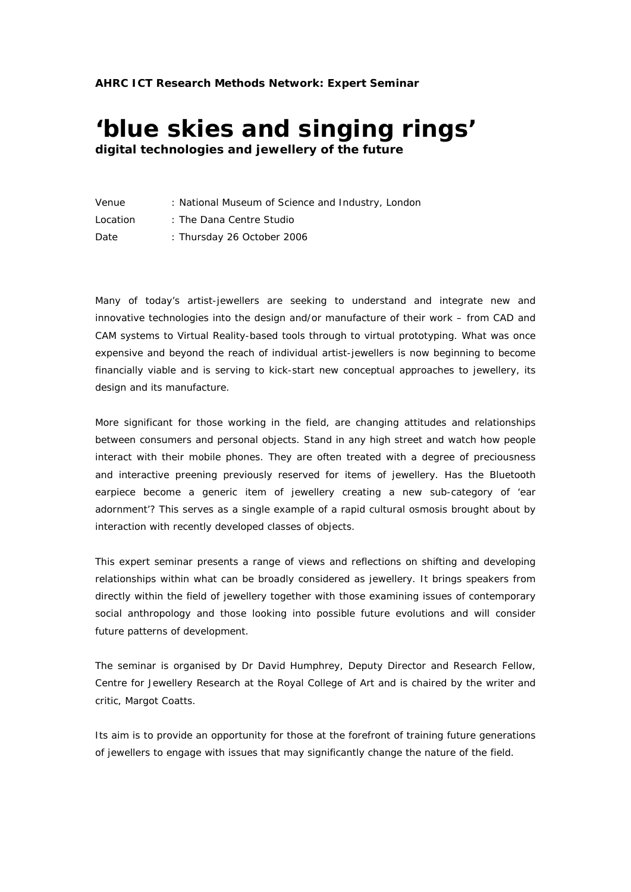# **'blue skies and singing rings' digital technologies and jewellery of the future**

| Venue    | : National Museum of Science and Industry, London |
|----------|---------------------------------------------------|
| Location | : The Dana Centre Studio                          |
| Date     | : Thursday 26 October 2006                        |

Many of today's artist-jewellers are seeking to understand and integrate new and innovative technologies into the design and/or manufacture of their work – from CAD and CAM systems to Virtual Reality-based tools through to virtual prototyping. What was once expensive and beyond the reach of individual artist-jewellers is now beginning to become financially viable and is serving to kick-start new conceptual approaches to jewellery, its design and its manufacture.

More significant for those working in the field, are changing attitudes and relationships between consumers and personal objects. Stand in any high street and watch how people interact with their mobile phones. They are often treated with a degree of preciousness and interactive preening previously reserved for items of jewellery. Has the Bluetooth earpiece become a generic item of jewellery creating a new sub-category of 'ear adornment'? This serves as a single example of a rapid cultural osmosis brought about by interaction with recently developed classes of objects.

This expert seminar presents a range of views and reflections on shifting and developing relationships within what can be broadly considered as jewellery. It brings speakers from directly within the field of jewellery together with those examining issues of contemporary social anthropology and those looking into possible future evolutions and will consider future patterns of development.

The seminar is organised by Dr David Humphrey, Deputy Director and Research Fellow, Centre for Jewellery Research at the Royal College of Art and is chaired by the writer and critic, Margot Coatts.

Its aim is to provide an opportunity for those at the forefront of training future generations of jewellers to engage with issues that may significantly change the nature of the field.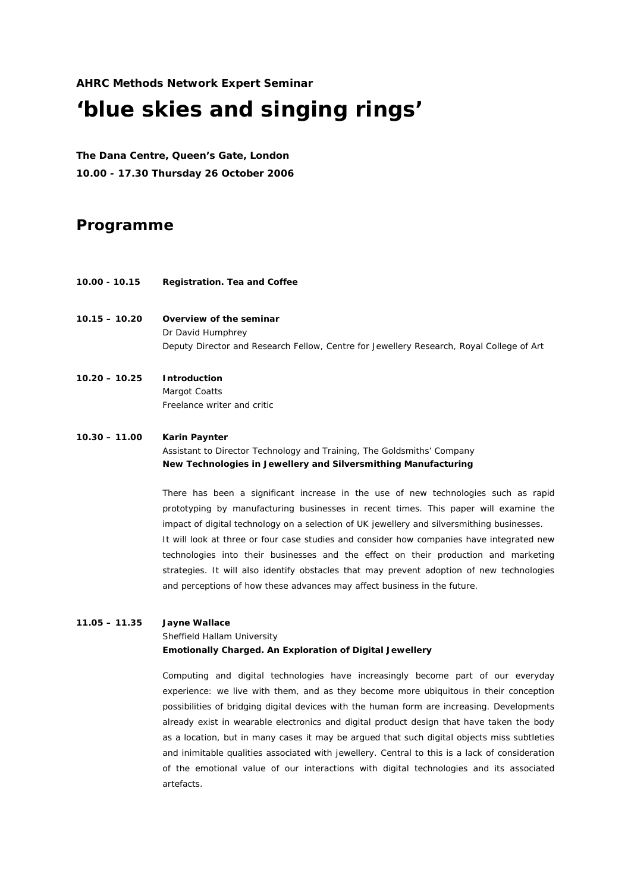**AHRC Methods Network Expert Seminar** 

# *'blue skies and singing rings'*

**The Dana Centre, Queen's Gate, London 10.00 - 17.30 Thursday 26 October 2006** 

## **Programme**

- **10.00 10.15 Registration. Tea and Coffee**
- **10.15 10.20 Overview of the seminar**  Dr David Humphrey Deputy Director and Research Fellow, Centre for Jewellery Research, Royal College of Art

## **10.20 – 10.25 Introduction**  Margot Coatts Freelance writer and critic

#### **10.30 – 11.00 Karin Paynter**

Assistant to Director Technology and Training, The Goldsmiths' Company *New Technologies in Jewellery and Silversmithing Manufacturing* 

There has been a significant increase in the use of new technologies such as rapid prototyping by manufacturing businesses in recent times. This paper will examine the impact of digital technology on a selection of UK jewellery and silversmithing businesses. It will look at three or four case studies and consider how companies have integrated new technologies into their businesses and the effect on their production and marketing strategies. It will also identify obstacles that may prevent adoption of new technologies and perceptions of how these advances may affect business in the future.

## **11.05 – 11.35 Jayne Wallace**

## Sheffield Hallam University *Emotionally Charged. An Exploration of Digital Jewellery*

Computing and digital technologies have increasingly become part of our everyday experience: we *live* with them, and as they become more ubiquitous in their conception possibilities of bridging digital devices with the human form are increasing. Developments already exist in wearable electronics and digital product design that have taken the body as a location, but in many cases it may be argued that such digital objects miss subtleties and inimitable qualities associated with jewellery. Central to this is a lack of consideration of the emotional value of our interactions with digital technologies and its associated artefacts.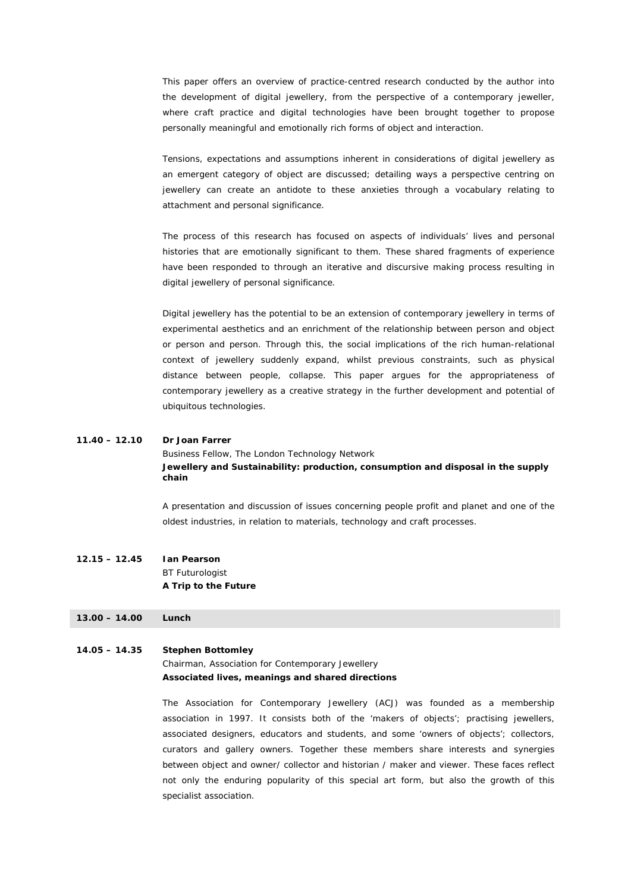This paper offers an overview of practice-centred research conducted by the author into the development of digital jewellery, from the perspective of a contemporary jeweller, where craft practice and digital technologies have been brought together to propose personally meaningful and emotionally rich forms of object and interaction.

Tensions, expectations and assumptions inherent in considerations of digital jewellery as an emergent category of object are discussed; detailing ways a perspective centring on jewellery can create an antidote to these anxieties through a vocabulary relating to attachment and personal significance.

The process of this research has focused on aspects of individuals' lives and personal histories that are emotionally significant to them. These shared fragments of experience have been responded to through an iterative and discursive making process resulting in digital jewellery of personal significance.

Digital jewellery has the potential to be an extension of contemporary jewellery in terms of experimental aesthetics and an enrichment of the relationship between person and object or person and person. Through this, the social implications of the rich human-relational context of jewellery suddenly expand, whilst previous constraints, such as physical distance between people, collapse. This paper argues for the appropriateness of contemporary jewellery as a creative strategy in the further development and potential of ubiquitous technologies.

#### **11.40 – 12.10 Dr Joan Farrer**

Business Fellow, The London Technology Network *Jewellery and Sustainability: production, consumption and disposal in the supply chain* 

A presentation and discussion of issues concerning people profit and planet and one of the oldest industries, in relation to materials, technology and craft processes.

### **12.15 – 12.45 Ian Pearson**  BT Futurologist *A Trip to the Future*

#### **13.00 – 14.00 Lunch**

#### **14.05 – 14.35 Stephen Bottomley**

Chairman, Association for Contemporary Jewellery *Associated lives, meanings and shared directions* 

The Association for Contemporary Jewellery (ACJ) was founded as a membership association in 1997. It consists both of the 'makers of objects'; practising jewellers, associated designers, educators and students, and some 'owners of objects'; collectors, curators and gallery owners. Together these members share interests and synergies between object and owner/ collector and historian / maker and viewer. These faces reflect not only the enduring popularity of this special art form, but also the growth of this specialist association.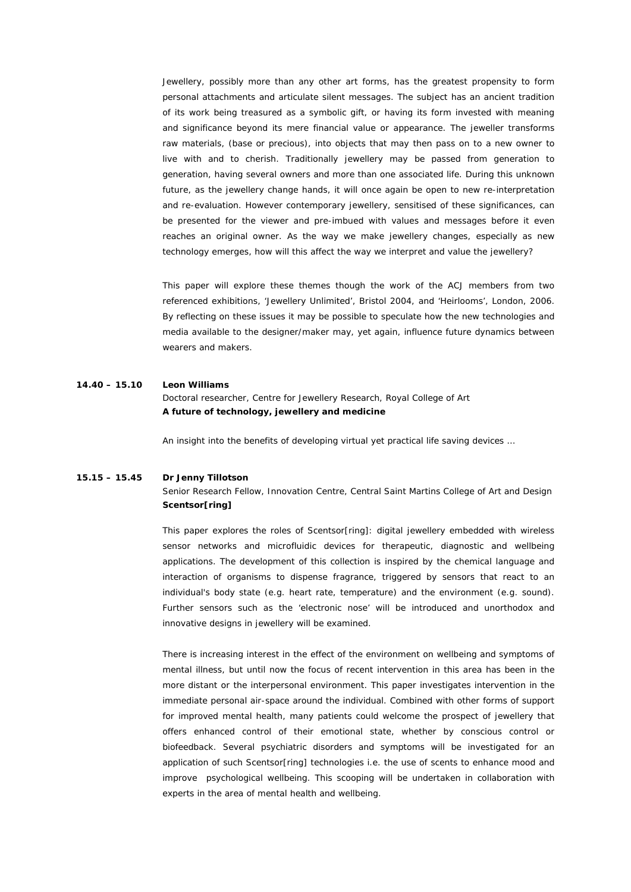Jewellery, possibly more than any other art forms, has the greatest propensity to form personal attachments and articulate silent messages. The subject has an ancient tradition of its work being treasured as a symbolic gift, or having its form invested with meaning and significance beyond its mere financial value or appearance. The jeweller transforms raw materials, (base or precious), into objects that may then pass on to a new owner to live with and to cherish. Traditionally jewellery may be passed from generation to generation, having several owners and more than one associated life. During this unknown future, as the jewellery change hands, it will once again be open to new re-interpretation and re-evaluation. However contemporary jewellery, sensitised of these significances, can be presented for the viewer and pre-imbued with values and messages before it even reaches an original *owner*. As the way we make jewellery changes, especially as new technology emerges, how will this affect the way we interpret and value the jewellery?

This paper will explore these themes though the work of the ACJ members from two referenced exhibitions, 'Jewellery Unlimited', Bristol 2004, and 'Heirlooms', London, 2006. By reflecting on these issues it may be possible to speculate how the new technologies and media available to the designer/maker may, yet again, influence future dynamics between wearers and makers.

#### **14.40 – 15.10 Leon Williams**

Doctoral researcher, Centre for Jewellery Research, Royal College of Art *A future of technology, jewellery and medicine* 

An insight into the benefits of developing virtual yet practical life saving devices …

## **15.15 – 15.45 Dr Jenny Tillotson**  Senior Research Fellow, Innovation Centre, Central Saint Martins College of Art and Design *Scentsor[ring]*

This paper explores the roles of Scentsor[ring]: digital jewellery embedded with wireless sensor networks and microfluidic devices for therapeutic, diagnostic and wellbeing applications. The development of this collection is inspired by the chemical language and interaction of organisms to dispense fragrance, triggered by sensors that react to an individual's body state (e.g. heart rate, temperature) and the environment (e.g. sound). Further sensors such as the 'electronic nose' will be introduced and unorthodox and innovative designs in jewellery will be examined.

There is increasing interest in the effect of the environment on wellbeing and symptoms of mental illness, but until now the focus of recent intervention in this area has been in the more distant or the interpersonal environment. This paper investigates intervention in the immediate personal air-space around the individual. Combined with other forms of support for improved mental health, many patients could welcome the prospect of jewellery that offers enhanced control of their emotional state, whether by conscious control or biofeedback. Several psychiatric disorders and symptoms will be investigated for an application of such Scentsor[ring] technologies i.e. the use of scents to enhance mood and improve psychological wellbeing. This scooping will be undertaken in collaboration with experts in the area of mental health and wellbeing.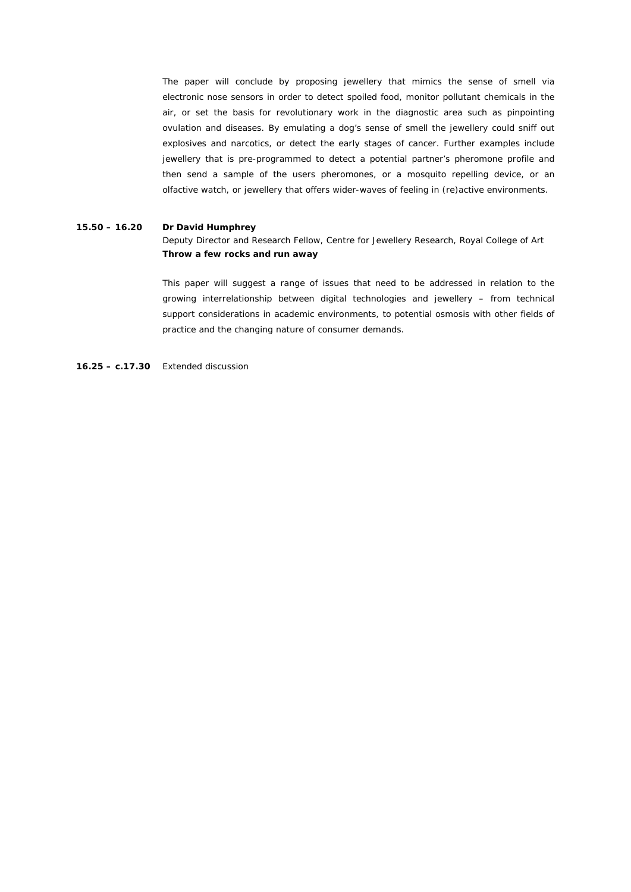The paper will conclude by proposing jewellery that mimics the sense of smell via electronic nose sensors in order to detect spoiled food, monitor pollutant chemicals in the air, or set the basis for revolutionary work in the diagnostic area such as pinpointing ovulation and diseases. By emulating a dog's sense of smell the jewellery could sniff out explosives and narcotics, or detect the early stages of cancer. Further examples include jewellery that is pre-programmed to detect a potential partner's pheromone profile and then send a sample of the users pheromones, or a mosquito repelling device, or an olfactive watch, or jewellery that offers wider-waves of feeling in (re)active environments.

#### **15.50 – 16.20 Dr David Humphrey**

Deputy Director and Research Fellow, Centre for Jewellery Research, Royal College of Art *Throw a few rocks and run away* 

This paper will suggest a range of issues that need to be addressed in relation to the growing interrelationship between digital technologies and jewellery – from technical support considerations in academic environments, to potential osmosis with other fields of practice and the changing nature of consumer demands.

**16.25 – c.17.30** Extended discussion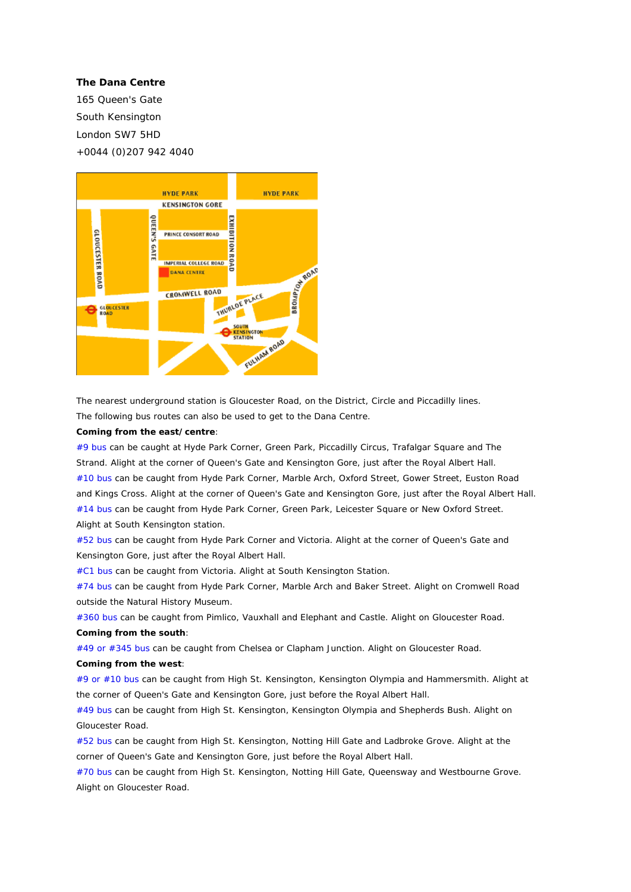#### **The Dana Centre**

165 Queen's Gate South Kensington London SW7 5HD +0044 (0)207 942 4040



The nearest underground station is Gloucester Road, on the District, Circle and Piccadilly lines. The following bus routes can also be used to get to the Dana Centre.

#### **Coming from the east/centre**:

#9 bus can be caught at Hyde Park Corner, Green Park, Piccadilly Circus, Trafalgar Square and The Strand. Alight at the corner of Queen's Gate and Kensington Gore, just after the Royal Albert Hall. #10 bus can be caught from Hyde Park Corner, Marble Arch, Oxford Street, Gower Street, Euston Road and Kings Cross. Alight at the corner of Queen's Gate and Kensington Gore, just after the Royal Albert Hall. #14 bus can be caught from Hyde Park Corner, Green Park, Leicester Square or New Oxford Street. Alight at South Kensington station.

#52 bus can be caught from Hyde Park Corner and Victoria. Alight at the corner of Queen's Gate and Kensington Gore, just after the Royal Albert Hall.

#C1 bus can be caught from Victoria. Alight at South Kensington Station.

#74 bus can be caught from Hyde Park Corner, Marble Arch and Baker Street. Alight on Cromwell Road outside the Natural History Museum.

#360 bus can be caught from Pimlico, Vauxhall and Elephant and Castle. Alight on Gloucester Road. **Coming from the south**:

#49 or #345 bus can be caught from Chelsea or Clapham Junction. Alight on Gloucester Road.

#### **Coming from the west**:

#9 or #10 bus can be caught from High St. Kensington, Kensington Olympia and Hammersmith. Alight at the corner of Queen's Gate and Kensington Gore, just before the Royal Albert Hall.

#49 bus can be caught from High St. Kensington, Kensington Olympia and Shepherds Bush. Alight on Gloucester Road.

#52 bus can be caught from High St. Kensington, Notting Hill Gate and Ladbroke Grove. Alight at the corner of Queen's Gate and Kensington Gore, just before the Royal Albert Hall.

#70 bus can be caught from High St. Kensington, Notting Hill Gate, Queensway and Westbourne Grove. Alight on Gloucester Road.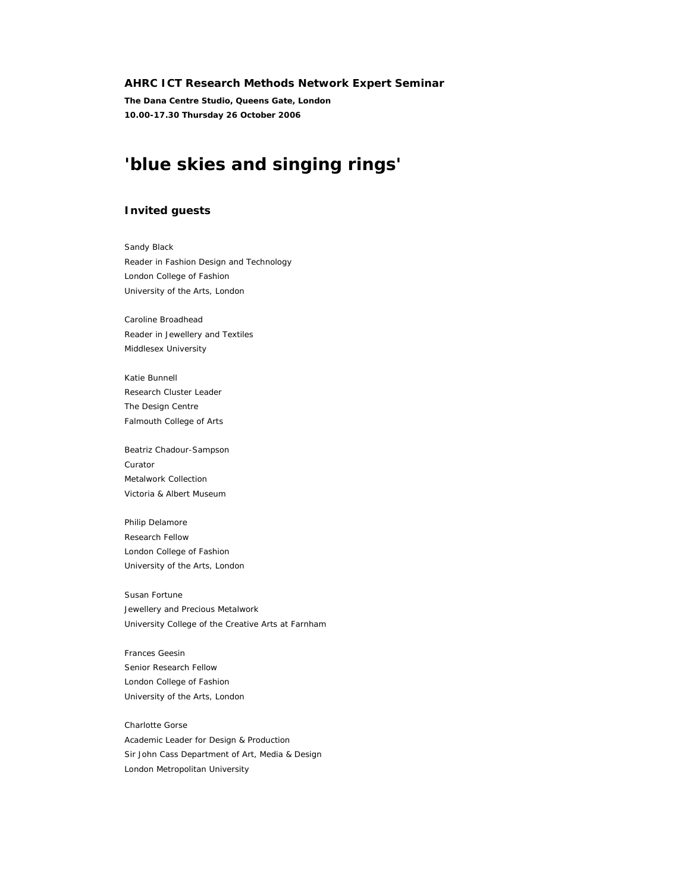#### **AHRC ICT Research Methods Network Expert Seminar**

**The Dana Centre Studio, Queens Gate, London 10.00-17.30 Thursday 26 October 2006** 

## **'blue skies and singing rings'**

#### **Invited guests**

Sandy Black Reader in Fashion Design and Technology London College of Fashion University of the Arts, London

Caroline Broadhead Reader in Jewellery and Textiles Middlesex University

Katie Bunnell Research Cluster Leader The Design Centre Falmouth College of Arts

Beatriz Chadour-Sampson Curator Metalwork Collection Victoria & Albert Museum

Philip Delamore Research Fellow London College of Fashion University of the Arts, London

Susan Fortune Jewellery and Precious Metalwork University College of the Creative Arts at Farnham

Frances Geesin Senior Research Fellow London College of Fashion University of the Arts, London

Charlotte Gorse Academic Leader for Design & Production Sir John Cass Department of Art, Media & Design London Metropolitan University